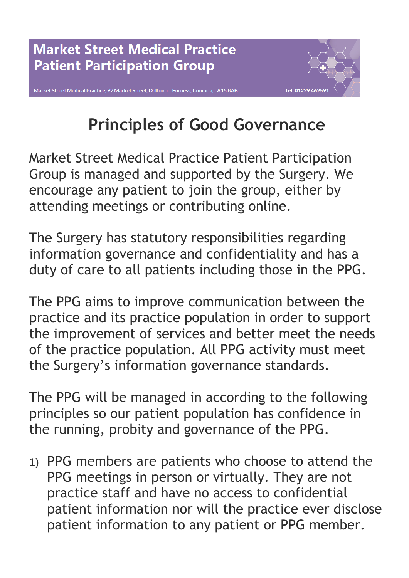



## **Principles of Good Governance**

Market Street Medical Practice Patient Participation Group is managed and supported by the Surgery. We encourage any patient to join the group, either by attending meetings or contributing online.

The Surgery has statutory responsibilities regarding information governance and confidentiality and has a duty of care to all patients including those in the PPG.

The PPG aims to improve communication between the practice and its practice population in order to support the improvement of services and better meet the needs of the practice population. All PPG activity must meet the Surgery's information governance standards.

The PPG will be managed in according to the following principles so our patient population has confidence in the running, probity and governance of the PPG.

1) PPG members are patients who choose to attend the PPG meetings in person or virtually. They are not practice staff and have no access to confidential patient information nor will the practice ever disclose patient information to any patient or PPG member.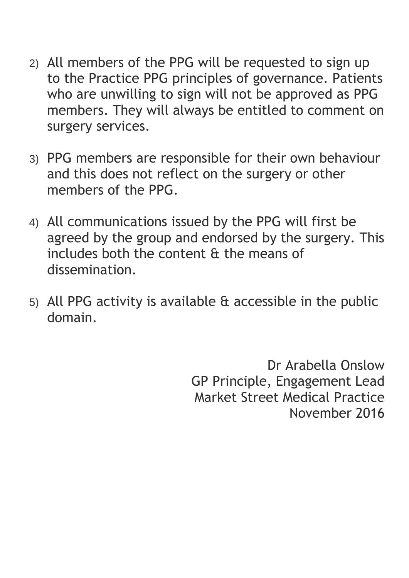- 2) All members of the PPG will be requested to sign up to the Practice PPG principles of governance. Patients who are unwilling to sign will not be approved as PPG members. They will always be entitled to comment on surgery services.
- 3) PPG members are responsible for their own behaviour and this does not reflect on the surgery or other members of the PPG.
- 4) All communications issued by the PPG will first be agreed by the group and endorsed by the surgery. This includes both the content & the means of dissemination.
- 5) All PPG activity is available & accessible in the public domain.

Dr Arabella Onslow GP Principle, Engagement Lead Market Street Medical Practice November 2016